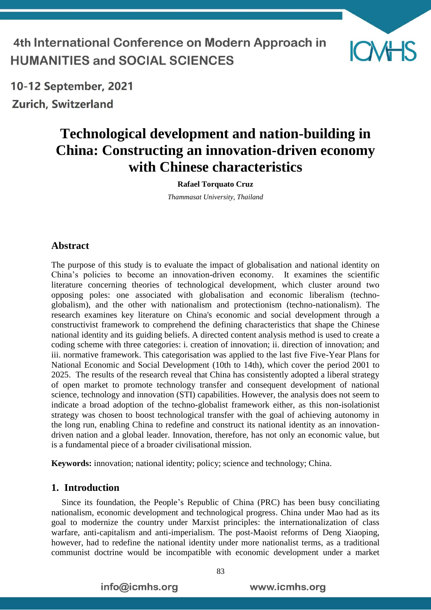4th International Conference on Modern Approach in **HUMANITIES and SOCIAL SCIENCES** 



10-12 September, 2021 **Zurich, Switzerland** 

# **Technological development and nation-building in China: Constructing an innovation-driven economy with Chinese characteristics**

**Rafael Torquato Cruz**

*Thammasat University, Thailand*

#### **Abstract**

The purpose of this study is to evaluate the impact of globalisation and national identity on China's policies to become an innovation-driven economy. It examines the scientific literature concerning theories of technological development, which cluster around two opposing poles: one associated with globalisation and economic liberalism (technoglobalism), and the other with nationalism and protectionism (techno-nationalism). The research examines key literature on China's economic and social development through a constructivist framework to comprehend the defining characteristics that shape the Chinese national identity and its guiding beliefs. A directed content analysis method is used to create a coding scheme with three categories: i. creation of innovation; ii. direction of innovation; and iii. normative framework. This categorisation was applied to the last five Five-Year Plans for National Economic and Social Development (10th to 14th), which cover the period 2001 to 2025. The results of the research reveal that China has consistently adopted a liberal strategy of open market to promote technology transfer and consequent development of national science, technology and innovation (STI) capabilities. However, the analysis does not seem to indicate a broad adoption of the techno-globalist framework either, as this non-isolationist strategy was chosen to boost technological transfer with the goal of achieving autonomy in the long run, enabling China to redefine and construct its national identity as an innovationdriven nation and a global leader. Innovation, therefore, has not only an economic value, but is a fundamental piece of a broader civilisational mission.

**Keywords:** innovation; national identity; policy; science and technology; China.

#### **1. Introduction**

Since its foundation, the People's Republic of China (PRC) has been busy conciliating nationalism, economic development and technological progress. China under Mao had as its goal to modernize the country under Marxist principles: the internationalization of class warfare, anti-capitalism and anti-imperialism. The post-Maoist reforms of Deng Xiaoping, however, had to redefine the national identity under more nationalist terms, as a traditional communist doctrine would be incompatible with economic development under a market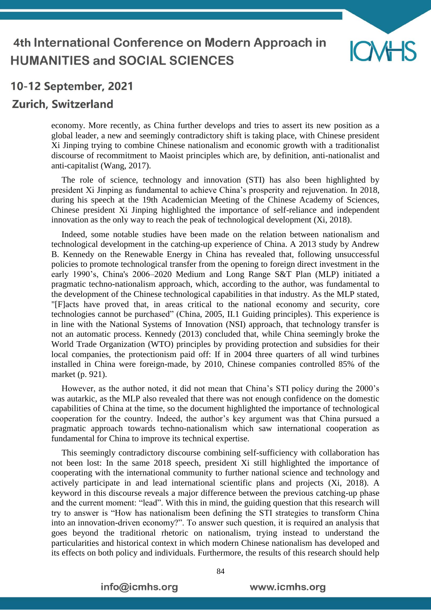

## **Zurich, Switzerland**

economy. More recently, as China further develops and tries to assert its new position as a global leader, a new and seemingly contradictory shift is taking place, with Chinese president Xi Jinping trying to combine Chinese nationalism and economic growth with a traditionalist discourse of recommitment to Maoist principles which are, by definition, anti-nationalist and anti-capitalist (Wang, 2017).

The role of science, technology and innovation (STI) has also been highlighted by president Xi Jinping as fundamental to achieve China's prosperity and rejuvenation. In 2018, during his speech at the 19th Academician Meeting of the Chinese Academy of Sciences, Chinese president Xi Jinping highlighted the importance of self-reliance and independent innovation as the only way to reach the peak of technological development (Xi, 2018).

Indeed, some notable studies have been made on the relation between nationalism and technological development in the catching-up experience of China. A 2013 study by Andrew B. Kennedy on the Renewable Energy in China has revealed that, following unsuccessful policies to promote technological transfer from the opening to foreign direct investment in the early 1990's, China's 2006–2020 Medium and Long Range S&T Plan (MLP) initiated a pragmatic techno-nationalism approach, which, according to the author, was fundamental to the development of the Chinese technological capabilities in that industry. As the MLP stated, "[F]acts have proved that, in areas critical to the national economy and security, core technologies cannot be purchased" (China, 2005, II.1 Guiding principles). This experience is in line with the National Systems of Innovation (NSI) approach, that technology transfer is not an automatic process. Kennedy (2013) concluded that, while China seemingly broke the World Trade Organization (WTO) principles by providing protection and subsidies for their local companies, the protectionism paid off: If in 2004 three quarters of all wind turbines installed in China were foreign-made, by 2010, Chinese companies controlled 85% of the market (p. 921).

However, as the author noted, it did not mean that China's STI policy during the 2000's was autarkic, as the MLP also revealed that there was not enough confidence on the domestic capabilities of China at the time, so the document highlighted the importance of technological cooperation for the country. Indeed, the author's key argument was that China pursued a pragmatic approach towards techno-nationalism which saw international cooperation as fundamental for China to improve its technical expertise.

This seemingly contradictory discourse combining self-sufficiency with collaboration has not been lost: In the same 2018 speech, president Xi still highlighted the importance of cooperating with the international community to further national science and technology and actively participate in and lead international scientific plans and projects (Xi, 2018). A keyword in this discourse reveals a major difference between the previous catching-up phase and the current moment: "lead". With this in mind, the guiding question that this research will try to answer is "How has nationalism been defining the STI strategies to transform China into an innovation-driven economy?". To answer such question, it is required an analysis that goes beyond the traditional rhetoric on nationalism, trying instead to understand the particularities and historical context in which modern Chinese nationalism has developed and its effects on both policy and individuals. Furthermore, the results of this research should help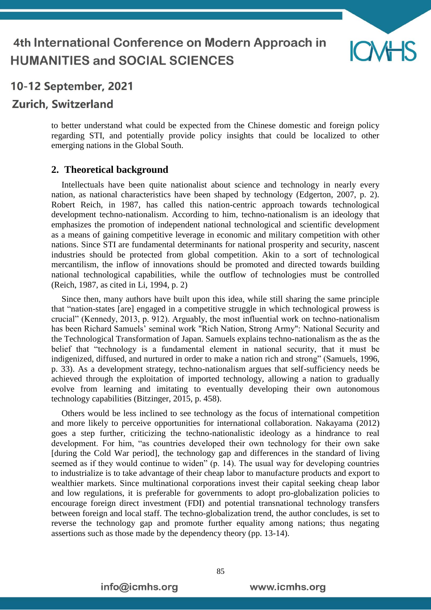

## **Zurich, Switzerland**

to better understand what could be expected from the Chinese domestic and foreign policy regarding STI, and potentially provide policy insights that could be localized to other emerging nations in the Global South.

#### **2. Theoretical background**

Intellectuals have been quite nationalist about science and technology in nearly every nation, as national characteristics have been shaped by technology (Edgerton, 2007, p. 2). Robert Reich, in 1987, has called this nation-centric approach towards technological development techno-nationalism. According to him, techno-nationalism is an ideology that emphasizes the promotion of independent national technological and scientific development as a means of gaining competitive leverage in economic and military competition with other nations. Since STI are fundamental determinants for national prosperity and security, nascent industries should be protected from global competition. Akin to a sort of technological mercantilism, the inflow of innovations should be promoted and directed towards building national technological capabilities, while the outflow of technologies must be controlled (Reich, 1987, as cited in Li, 1994, p. 2)

Since then, many authors have built upon this idea, while still sharing the same principle that "nation-states [are] engaged in a competitive struggle in which technological prowess is crucial" (Kennedy, 2013, p. 912). Arguably, the most influential work on techno-nationalism has been Richard Samuels' seminal work "Rich Nation, Strong Army": National Security and the Technological Transformation of Japan. Samuels explains techno-nationalism as the as the belief that "technology is a fundamental element in national security, that it must be indigenized, diffused, and nurtured in order to make a nation rich and strong" (Samuels, 1996, p. 33). As a development strategy, techno-nationalism argues that self-sufficiency needs be achieved through the exploitation of imported technology, allowing a nation to gradually evolve from learning and imitating to eventually developing their own autonomous technology capabilities (Bitzinger, 2015, p. 458).

Others would be less inclined to see technology as the focus of international competition and more likely to perceive opportunities for international collaboration. Nakayama (2012) goes a step further, criticizing the techno-nationalistic ideology as a hindrance to real development. For him, "as countries developed their own technology for their own sake [during the Cold War period], the technology gap and differences in the standard of living seemed as if they would continue to widen" (p. 14). The usual way for developing countries to industrialize is to take advantage of their cheap labor to manufacture products and export to wealthier markets. Since multinational corporations invest their capital seeking cheap labor and low regulations, it is preferable for governments to adopt pro-globalization policies to encourage foreign direct investment (FDI) and potential transnational technology transfers between foreign and local staff. The techno-globalization trend, the author concludes, is set to reverse the technology gap and promote further equality among nations; thus negating assertions such as those made by the dependency theory (pp. 13-14).

85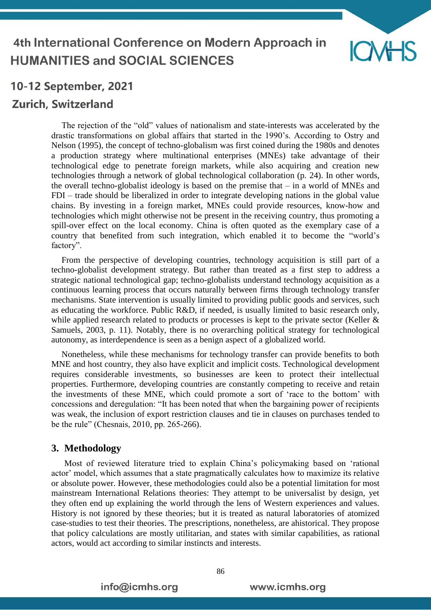

## **Zurich, Switzerland**

The rejection of the "old" values of nationalism and state-interests was accelerated by the drastic transformations on global affairs that started in the 1990's. According to Ostry and Nelson (1995), the concept of techno-globalism was first coined during the 1980s and denotes a production strategy where multinational enterprises (MNEs) take advantage of their technological edge to penetrate foreign markets, while also acquiring and creation new technologies through a network of global technological collaboration (p. 24). In other words, the overall techno-globalist ideology is based on the premise that – in a world of MNEs and FDI – trade should be liberalized in order to integrate developing nations in the global value chains. By investing in a foreign market, MNEs could provide resources, know-how and technologies which might otherwise not be present in the receiving country, thus promoting a spill-over effect on the local economy. China is often quoted as the exemplary case of a country that benefited from such integration, which enabled it to become the "world's factory".

From the perspective of developing countries, technology acquisition is still part of a techno-globalist development strategy. But rather than treated as a first step to address a strategic national technological gap; techno-globalists understand technology acquisition as a continuous learning process that occurs naturally between firms through technology transfer mechanisms. State intervention is usually limited to providing public goods and services, such as educating the workforce. Public R&D, if needed, is usually limited to basic research only, while applied research related to products or processes is kept to the private sector (Keller & Samuels, 2003, p. 11). Notably, there is no overarching political strategy for technological autonomy, as interdependence is seen as a benign aspect of a globalized world.

Nonetheless, while these mechanisms for technology transfer can provide benefits to both MNE and host country, they also have explicit and implicit costs. Technological development requires considerable investments, so businesses are keen to protect their intellectual properties. Furthermore, developing countries are constantly competing to receive and retain the investments of these MNE, which could promote a sort of 'race to the bottom' with concessions and deregulation: "It has been noted that when the bargaining power of recipients was weak, the inclusion of export restriction clauses and tie in clauses on purchases tended to be the rule" (Chesnais, 2010, pp. 265-266).

#### **3. Methodology**

Most of reviewed literature tried to explain China's policymaking based on 'rational actor' model, which assumes that a state pragmatically calculates how to maximize its relative or absolute power. However, these methodologies could also be a potential limitation for most mainstream International Relations theories: They attempt to be universalist by design, yet they often end up explaining the world through the lens of Western experiences and values. History is not ignored by these theories; but it is treated as natural laboratories of atomized case-studies to test their theories. The prescriptions, nonetheless, are ahistorical. They propose that policy calculations are mostly utilitarian, and states with similar capabilities, as rational actors, would act according to similar instincts and interests.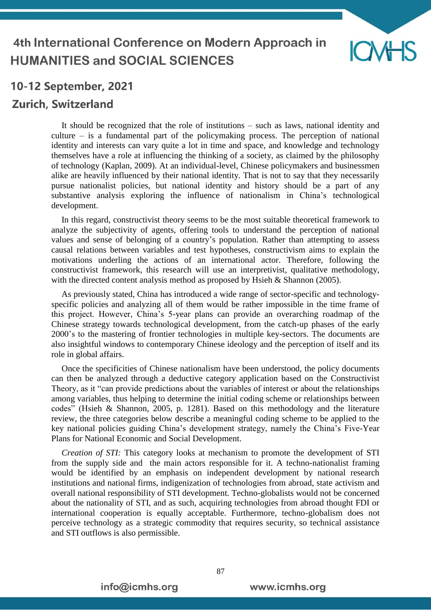

## **Zurich, Switzerland**

It should be recognized that the role of institutions – such as laws, national identity and culture – is a fundamental part of the policymaking process. The perception of national identity and interests can vary quite a lot in time and space, and knowledge and technology themselves have a role at influencing the thinking of a society, as claimed by the philosophy of technology (Kaplan, 2009). At an individual-level, Chinese policymakers and businessmen alike are heavily influenced by their national identity. That is not to say that they necessarily pursue nationalist policies, but national identity and history should be a part of any substantive analysis exploring the influence of nationalism in China's technological development.

In this regard, constructivist theory seems to be the most suitable theoretical framework to analyze the subjectivity of agents, offering tools to understand the perception of national values and sense of belonging of a country's population. Rather than attempting to assess causal relations between variables and test hypotheses, constructivism aims to explain the motivations underling the actions of an international actor. Therefore, following the constructivist framework, this research will use an interpretivist, qualitative methodology, with the directed content analysis method as proposed by Hsieh & Shannon (2005).

As previously stated, China has introduced a wide range of sector-specific and technologyspecific policies and analyzing all of them would be rather impossible in the time frame of this project. However, China's 5-year plans can provide an overarching roadmap of the Chinese strategy towards technological development, from the catch-up phases of the early 2000's to the mastering of frontier technologies in multiple key-sectors. The documents are also insightful windows to contemporary Chinese ideology and the perception of itself and its role in global affairs.

Once the specificities of Chinese nationalism have been understood, the policy documents can then be analyzed through a deductive category application based on the Constructivist Theory, as it "can provide predictions about the variables of interest or about the relationships among variables, thus helping to determine the initial coding scheme or relationships between codes" (Hsieh & Shannon, 2005, p. 1281). Based on this methodology and the literature review, the three categories below describe a meaningful coding scheme to be applied to the key national policies guiding China's development strategy, namely the China's Five-Year Plans for National Economic and Social Development.

*Creation of STI:* This category looks at mechanism to promote the development of STI from the supply side and the main actors responsible for it. A techno-nationalist framing would be identified by an emphasis on independent development by national research institutions and national firms, indigenization of technologies from abroad, state activism and overall national responsibility of STI development. Techno-globalists would not be concerned about the nationality of STI, and as such, acquiring technologies from abroad thought FDI or international cooperation is equally acceptable. Furthermore, techno-globalism does not perceive technology as a strategic commodity that requires security, so technical assistance and STI outflows is also permissible.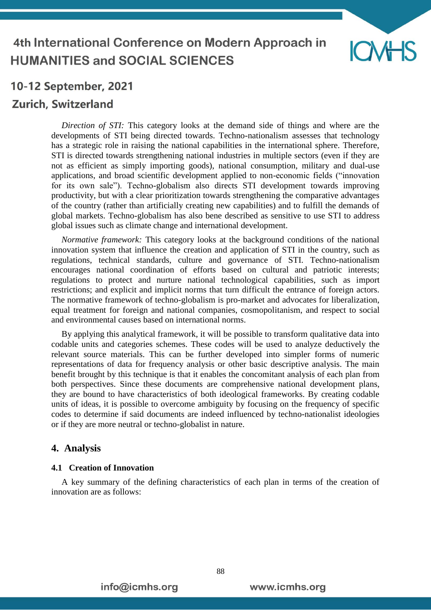

## **Zurich, Switzerland**

*Direction of STI:* This category looks at the demand side of things and where are the developments of STI being directed towards. Techno-nationalism assesses that technology has a strategic role in raising the national capabilities in the international sphere. Therefore, STI is directed towards strengthening national industries in multiple sectors (even if they are not as efficient as simply importing goods), national consumption, military and dual-use applications, and broad scientific development applied to non-economic fields ("innovation for its own sale"). Techno-globalism also directs STI development towards improving productivity, but with a clear prioritization towards strengthening the comparative advantages of the country (rather than artificially creating new capabilities) and to fulfill the demands of global markets. Techno-globalism has also bene described as sensitive to use STI to address global issues such as climate change and international development.

*Normative framework:* This category looks at the background conditions of the national innovation system that influence the creation and application of STI in the country, such as regulations, technical standards, culture and governance of STI. Techno-nationalism encourages national coordination of efforts based on cultural and patriotic interests; regulations to protect and nurture national technological capabilities, such as import restrictions; and explicit and implicit norms that turn difficult the entrance of foreign actors. The normative framework of techno-globalism is pro-market and advocates for liberalization, equal treatment for foreign and national companies, cosmopolitanism, and respect to social and environmental causes based on international norms.

By applying this analytical framework, it will be possible to transform qualitative data into codable units and categories schemes. These codes will be used to analyze deductively the relevant source materials. This can be further developed into simpler forms of numeric representations of data for frequency analysis or other basic descriptive analysis. The main benefit brought by this technique is that it enables the concomitant analysis of each plan from both perspectives. Since these documents are comprehensive national development plans, they are bound to have characteristics of both ideological frameworks. By creating codable units of ideas, it is possible to overcome ambiguity by focusing on the frequency of specific codes to determine if said documents are indeed influenced by techno-nationalist ideologies or if they are more neutral or techno-globalist in nature.

#### **4. Analysis**

#### **4.1 Creation of Innovation**

A key summary of the defining characteristics of each plan in terms of the creation of innovation are as follows: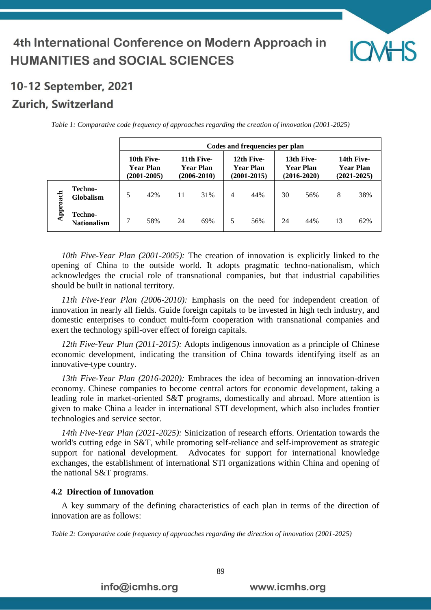

## Zurich, Switzerland

|          |                                    | Codes and frequencies per plan                    |     |                                                   |     |                                                   |     |                                                   |     |                                                   |     |  |
|----------|------------------------------------|---------------------------------------------------|-----|---------------------------------------------------|-----|---------------------------------------------------|-----|---------------------------------------------------|-----|---------------------------------------------------|-----|--|
|          |                                    | 10th Five-<br><b>Year Plan</b><br>$(2001 - 2005)$ |     | 11th Five-<br><b>Year Plan</b><br>$(2006 - 2010)$ |     | 12th Five-<br><b>Year Plan</b><br>$(2001 - 2015)$ |     | 13th Five-<br><b>Year Plan</b><br>$(2016 - 2020)$ |     | 14th Five-<br><b>Year Plan</b><br>$(2021 - 2025)$ |     |  |
| Approach | <b>Techno-</b><br><b>Globalism</b> | 5                                                 | 42% | 11                                                | 31% | 4                                                 | 44% | 30                                                | 56% | 8                                                 | 38% |  |
|          | Techno-<br><b>Nationalism</b>      |                                                   | 58% | 24                                                | 69% |                                                   | 56% | 24                                                | 44% | 13                                                | 62% |  |

*Table 1: Comparative code frequency of approaches regarding the creation of innovation (2001-2025)*

*10th Five-Year Plan (2001-2005):* The creation of innovation is explicitly linked to the opening of China to the outside world. It adopts pragmatic techno-nationalism, which acknowledges the crucial role of transnational companies, but that industrial capabilities should be built in national territory.

*11th Five-Year Plan (2006-2010):* Emphasis on the need for independent creation of innovation in nearly all fields. Guide foreign capitals to be invested in high tech industry, and domestic enterprises to conduct multi-form cooperation with transnational companies and exert the technology spill-over effect of foreign capitals.

*12th Five-Year Plan (2011-2015):* Adopts indigenous innovation as a principle of Chinese economic development, indicating the transition of China towards identifying itself as an innovative-type country.

*13th Five-Year Plan (2016-2020):* Embraces the idea of becoming an innovation-driven economy. Chinese companies to become central actors for economic development, taking a leading role in market-oriented S&T programs, domestically and abroad. More attention is given to make China a leader in international STI development, which also includes frontier technologies and service sector.

*14th Five-Year Plan (2021-2025):* Sinicization of research efforts. Orientation towards the world's cutting edge in S&T, while promoting self-reliance and self-improvement as strategic support for national development. Advocates for support for international knowledge exchanges, the establishment of international STI organizations within China and opening of the national S&T programs.

#### **4.2 Direction of Innovation**

A key summary of the defining characteristics of each plan in terms of the direction of innovation are as follows:

*Table 2: Comparative code frequency of approaches regarding the direction of innovation (2001-2025)*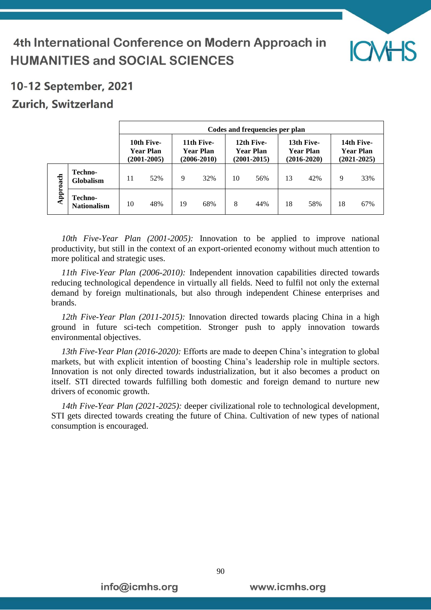

# 4th International Conference on Modern Approach in **HUMANITIES and SOCIAL SCIENCES**

# 10-12 September, 2021

## **Zurich, Switzerland**

|          |                                      | Codes and frequencies per plan             |     |                                                   |     |                                                   |     |                                                   |     |                                                   |     |  |
|----------|--------------------------------------|--------------------------------------------|-----|---------------------------------------------------|-----|---------------------------------------------------|-----|---------------------------------------------------|-----|---------------------------------------------------|-----|--|
|          |                                      | 10th Five-<br>Year Plan<br>$(2001 - 2005)$ |     | 11th Five-<br><b>Year Plan</b><br>$(2006 - 2010)$ |     | 12th Five-<br><b>Year Plan</b><br>$(2001 - 2015)$ |     | 13th Five-<br><b>Year Plan</b><br>$(2016 - 2020)$ |     | 14th Five-<br><b>Year Plan</b><br>$(2021 - 2025)$ |     |  |
|          | Techno-<br><b>Globalism</b>          | 11                                         | 52% | 9                                                 | 32% | 10                                                | 56% | 13                                                | 42% | 9                                                 | 33% |  |
| Approach | <b>Techno-</b><br><b>Nationalism</b> | 10                                         | 48% | 19                                                | 68% | 8                                                 | 44% | 18                                                | 58% | 18                                                | 67% |  |

*10th Five-Year Plan (2001-2005):* Innovation to be applied to improve national productivity, but still in the context of an export-oriented economy without much attention to more political and strategic uses.

*11th Five-Year Plan (2006-2010):* Independent innovation capabilities directed towards reducing technological dependence in virtually all fields. Need to fulfil not only the external demand by foreign multinationals, but also through independent Chinese enterprises and brands.

*12th Five-Year Plan (2011-2015):* Innovation directed towards placing China in a high ground in future sci-tech competition. Stronger push to apply innovation towards environmental objectives.

*13th Five-Year Plan (2016-2020):* Efforts are made to deepen China's integration to global markets, but with explicit intention of boosting China's leadership role in multiple sectors. Innovation is not only directed towards industrialization, but it also becomes a product on itself. STI directed towards fulfilling both domestic and foreign demand to nurture new drivers of economic growth.

*14th Five-Year Plan (2021-2025):* deeper civilizational role to technological development, STI gets directed towards creating the future of China. Cultivation of new types of national consumption is encouraged.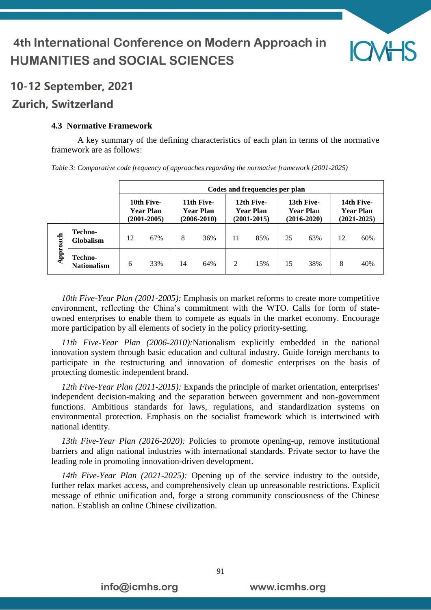

### **Zurich, Switzerland**

#### **4.3 Normative Framework**

A key summary of the defining characteristics of each plan in terms of the normative framework are as follows:

|          |                                      | Codes and frequencies per plan                    |     |                                                   |     |                                                   |     |                                                   |     |                                                   |     |  |
|----------|--------------------------------------|---------------------------------------------------|-----|---------------------------------------------------|-----|---------------------------------------------------|-----|---------------------------------------------------|-----|---------------------------------------------------|-----|--|
|          |                                      | 10th Five-<br><b>Year Plan</b><br>$(2001 - 2005)$ |     | 11th Five-<br><b>Year Plan</b><br>$(2006 - 2010)$ |     | 12th Five-<br><b>Year Plan</b><br>$(2001 - 2015)$ |     | 13th Five-<br><b>Year Plan</b><br>$(2016 - 2020)$ |     | 14th Five-<br><b>Year Plan</b><br>$(2021 - 2025)$ |     |  |
| Approach | Techno-<br><b>Globalism</b>          | 12                                                | 67% | 8                                                 | 36% | 11                                                | 85% | 25                                                | 63% | 12                                                | 60% |  |
|          | <b>Techno-</b><br><b>Nationalism</b> | 6                                                 | 33% | 14                                                | 64% | 2                                                 | 15% | 15                                                | 38% | 8                                                 | 40% |  |

*Table 3: Comparative code frequency of approaches regarding the normative framework (2001-2025)*

*10th Five-Year Plan (2001-2005):* Emphasis on market reforms to create more competitive environment, reflecting the China's commitment with the WTO. Calls for form of stateowned enterprises to enable them to compete as equals in the market economy. Encourage more participation by all elements of society in the policy priority-setting.

*11th Five-Year Plan (2006-2010):*Nationalism explicitly embedded in the national innovation system through basic education and cultural industry. Guide foreign merchants to participate in the restructuring and innovation of domestic enterprises on the basis of protecting domestic independent brand.

*12th Five-Year Plan (2011-2015):* Expands the principle of market orientation, enterprises' independent decision-making and the separation between government and non-government functions. Ambitious standards for laws, regulations, and standardization systems on environmental protection. Emphasis on the socialist framework which is intertwined with national identity.

*13th Five-Year Plan (2016-2020):* Policies to promote opening-up, remove institutional barriers and align national industries with international standards. Private sector to have the leading role in promoting innovation-driven development.

*14th Five-Year Plan (2021-2025):* Opening up of the service industry to the outside, further relax market access, and comprehensively clean up unreasonable restrictions. Explicit message of ethnic unification and, forge a strong community consciousness of the Chinese nation. Establish an online Chinese civilization.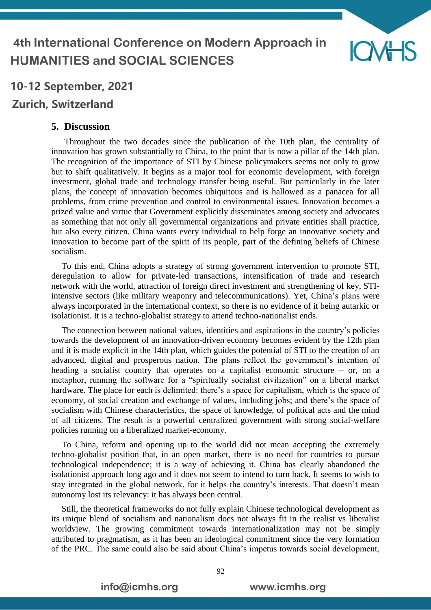

## **Zurich, Switzerland**

#### **5. Discussion**

Throughout the two decades since the publication of the 10th plan, the centrality of innovation has grown substantially to China, to the point that is now a pillar of the 14th plan. The recognition of the importance of STI by Chinese policymakers seems not only to grow but to shift qualitatively. It begins as a major tool for economic development, with foreign investment, global trade and technology transfer being useful. But particularly in the later plans, the concept of innovation becomes ubiquitous and is hallowed as a panacea for all problems, from crime prevention and control to environmental issues. Innovation becomes a prized value and virtue that Government explicitly disseminates among society and advocates as something that not only all governmental organizations and private entities shall practice, but also every citizen. China wants every individual to help forge an innovative society and innovation to become part of the spirit of its people, part of the defining beliefs of Chinese socialism.

To this end, China adopts a strategy of strong government intervention to promote STI, deregulation to allow for private-led transactions, intensification of trade and research network with the world, attraction of foreign direct investment and strengthening of key, STIintensive sectors (like military weaponry and telecommunications). Yet, China's plans were always incorporated in the international context, so there is no evidence of it being autarkic or isolationist. It is a techno-globalist strategy to attend techno-nationalist ends.

The connection between national values, identities and aspirations in the country's policies towards the development of an innovation-driven economy becomes evident by the 12th plan and it is made explicit in the 14th plan, which guides the potential of STI to the creation of an advanced, digital and prosperous nation. The plans reflect the government's intention of heading a socialist country that operates on a capitalist economic structure – or, on a metaphor, running the software for a "spiritually socialist civilization" on a liberal market hardware. The place for each is delimited: there's a space for capitalism, which is the space of economy, of social creation and exchange of values, including jobs; and there's the space of socialism with Chinese characteristics, the space of knowledge, of political acts and the mind of all citizens. The result is a powerful centralized government with strong social-welfare policies running on a liberalized market-economy.

To China, reform and opening up to the world did not mean accepting the extremely techno-globalist position that, in an open market, there is no need for countries to pursue technological independence; it is a way of achieving it. China has clearly abandoned the isolationist approach long ago and it does not seem to intend to turn back. It seems to wish to stay integrated in the global network, for it helps the country's interests. That doesn't mean autonomy lost its relevancy: it has always been central.

Still, the theoretical frameworks do not fully explain Chinese technological development as its unique blend of socialism and nationalism does not always fit in the realist vs liberalist worldview. The growing commitment towards internationalization may not be simply attributed to pragmatism, as it has been an ideological commitment since the very formation of the PRC. The same could also be said about China's impetus towards social development,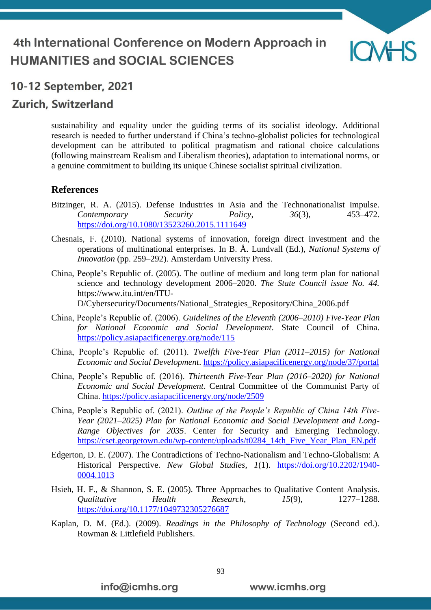

## **Zurich, Switzerland**

sustainability and equality under the guiding terms of its socialist ideology. Additional research is needed to further understand if China's techno-globalist policies for technological development can be attributed to political pragmatism and rational choice calculations (following mainstream Realism and Liberalism theories), adaptation to international norms, or a genuine commitment to building its unique Chinese socialist spiritual civilization.

#### **References**

- Bitzinger, R. A. (2015). Defense Industries in Asia and the Technonationalist Impulse. *Contemporary Security Policy*, *36*(3), 453–472. <https://doi.org/10.1080/13523260.2015.1111649>
- Chesnais, F. (2010). National systems of innovation, foreign direct investment and the operations of multinational enterprises. In B. Å. Lundvall (Ed.), *National Systems of Innovation* (pp. 259–292). Amsterdam University Press.
- China, People's Republic of. (2005). The outline of medium and long term plan for national science and technology development 2006–2020. *The State Council issue No. 44.* https://www.itu.int/en/ITU-D/Cybersecurity/Documents/National\_Strategies\_Repository/China\_2006.pdf
- China, People's Republic of. (2006). *Guidelines of the Eleventh (2006–2010) Five-Year Plan for National Economic and Social Development*. State Council of China. <https://policy.asiapacificenergy.org/node/115>
- China, People's Republic of. (2011). *Twelfth Five-Year Plan (2011–2015) for National Economic and Social Development*.<https://policy.asiapacificenergy.org/node/37/portal>
- China, People's Republic of. (2016). *Thirteenth Five-Year Plan (2016–2020) for National Economic and Social Development*. Central Committee of the Communist Party of China.<https://policy.asiapacificenergy.org/node/2509>
- China, People's Republic of. (2021). *Outline of the People's Republic of China 14th Five-Year (2021–2025) Plan for National Economic and Social Development and Long-Range Objectives for 2035*. Center for Security and Emerging Technology. [https://cset.georgetown.edu/wp-content/uploads/t0284\\_14th\\_Five\\_Year\\_Plan\\_EN.pdf](https://cset.georgetown.edu/wp-content/uploads/t0284_14th_Five_Year_Plan_EN.pdf)
- Edgerton, D. E. (2007). The Contradictions of Techno-Nationalism and Techno-Globalism: A Historical Perspective. *New Global Studies*, *1*(1). [https://doi.org/10.2202/1940-](https://doi.org/10.2202/1940-0004.1013) [0004.1013](https://doi.org/10.2202/1940-0004.1013)
- Hsieh, H. F., & Shannon, S. E. (2005). Three Approaches to Qualitative Content Analysis. *Qualitative Health Research*, *15*(9), 1277–1288. <https://doi.org/10.1177/1049732305276687>
- Kaplan, D. M. (Ed.). (2009). *Readings in the Philosophy of Technology* (Second ed.). Rowman & Littlefield Publishers.